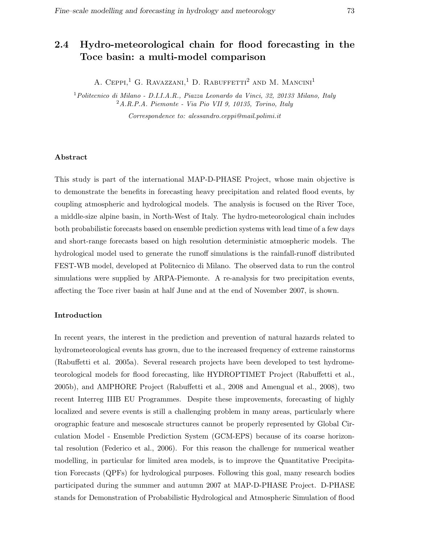# 2.4 Hydro-meteorological chain for flood forecasting in the Toce basin: a multi-model comparison

A. CEPPI,<sup>1</sup> G. RAVAZZANI,<sup>1</sup> D. RABUFFETTI<sup>2</sup> AND M. MANCINI<sup>1</sup>

<sup>1</sup>Politecnico di Milano - D.I.I.A.R., Piazza Leonardo da Vinci, 32, 20133 Milano, Italy <sup>2</sup>A.R.P.A. Piemonte - Via Pio VII 9, 10135, Torino, Italy

Correspondence to: alessandro.ceppi@mail.polimi.it

#### Abstract

This study is part of the international MAP-D-PHASE Project, whose main objective is to demonstrate the benefits in forecasting heavy precipitation and related flood events, by coupling atmospheric and hydrological models. The analysis is focused on the River Toce, a middle-size alpine basin, in North-West of Italy. The hydro-meteorological chain includes both probabilistic forecasts based on ensemble prediction systems with lead time of a few days and short-range forecasts based on high resolution deterministic atmospheric models. The hydrological model used to generate the runoff simulations is the rainfall-runoff distributed FEST-WB model, developed at Politecnico di Milano. The observed data to run the control simulations were supplied by ARPA-Piemonte. A re-analysis for two precipitation events, affecting the Toce river basin at half June and at the end of November 2007, is shown.

#### Introduction

In recent years, the interest in the prediction and prevention of natural hazards related to hydrometeorological events has grown, due to the increased frequency of extreme rainstorms (Rabuffetti et al. 2005a). Several research projects have been developed to test hydrometeorological models for flood forecasting, like HYDROPTIMET Project (Rabuffetti et al., 2005b), and AMPHORE Project (Rabuffetti et al., 2008 and Amengual et al., 2008), two recent Interreg IIIB EU Programmes. Despite these improvements, forecasting of highly localized and severe events is still a challenging problem in many areas, particularly where orographic feature and mesoscale structures cannot be properly represented by Global Circulation Model - Ensemble Prediction System (GCM-EPS) because of its coarse horizontal resolution (Federico et al., 2006). For this reason the challenge for numerical weather modelling, in particular for limited area models, is to improve the Quantitative Precipitation Forecasts (QPFs) for hydrological purposes. Following this goal, many research bodies participated during the summer and autumn 2007 at MAP-D-PHASE Project. D-PHASE stands for Demonstration of Probabilistic Hydrological and Atmospheric Simulation of flood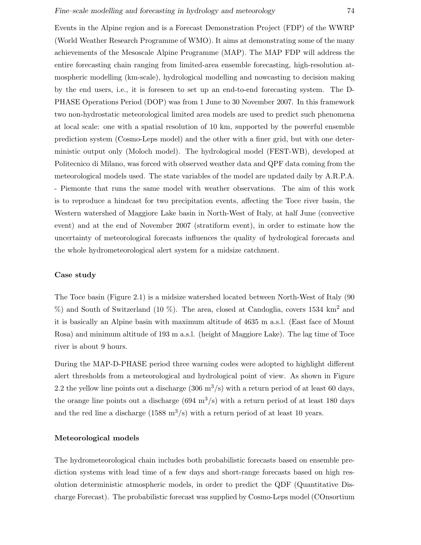Events in the Alpine region and is a Forecast Demonstration Project (FDP) of the WWRP (World Weather Research Programme of WMO). It aims at demonstrating some of the many achievements of the Mesoscale Alpine Programme (MAP). The MAP FDP will address the entire forecasting chain ranging from limited-area ensemble forecasting, high-resolution atmospheric modelling (km-scale), hydrological modelling and nowcasting to decision making by the end users, i.e., it is foreseen to set up an end-to-end forecasting system. The D-PHASE Operations Period (DOP) was from 1 June to 30 November 2007. In this framework two non-hydrostatic meteorological limited area models are used to predict such phenomena at local scale: one with a spatial resolution of 10 km, supported by the powerful ensemble prediction system (Cosmo-Leps model) and the other with a finer grid, but with one deterministic output only (Moloch model). The hydrological model (FEST-WB), developed at Politecnico di Milano, was forced with observed weather data and QPF data coming from the meteorological models used. The state variables of the model are updated daily by A.R.P.A. - Piemonte that runs the same model with weather observations. The aim of this work is to reproduce a hindcast for two precipitation events, affecting the Toce river basin, the Western watershed of Maggiore Lake basin in North-West of Italy, at half June (convective event) and at the end of November 2007 (stratiform event), in order to estimate how the uncertainty of meteorological forecasts influences the quality of hydrological forecasts and the whole hydrometeorological alert system for a midsize catchment.

#### Case study

The Toce basin (Figure 2.1) is a midsize watershed located between North-West of Italy (90 %) and South of Switzerland (10 %). The area, closed at Candoglia, covers 1534 km<sup>2</sup> and it is basically an Alpine basin with maximum altitude of 4635 m a.s.l. (East face of Mount Rosa) and minimum altitude of 193 m a.s.l. (height of Maggiore Lake). The lag time of Toce river is about 9 hours.

During the MAP-D-PHASE period three warning codes were adopted to highlight different alert thresholds from a meteorological and hydrological point of view. As shown in Figure 2.2 the yellow line points out a discharge  $(306 \text{ m}^3/\text{s})$  with a return period of at least 60 days, the orange line points out a discharge  $(694 \text{ m}^3/\text{s})$  with a return period of at least 180 days and the red line a discharge  $(1588 \text{ m}^3/\text{s})$  with a return period of at least 10 years.

#### Meteorological models

The hydrometeorological chain includes both probabilistic forecasts based on ensemble prediction systems with lead time of a few days and short-range forecasts based on high resolution deterministic atmospheric models, in order to predict the QDF (Quantitative Discharge Forecast). The probabilistic forecast was supplied by Cosmo-Leps model (COnsortium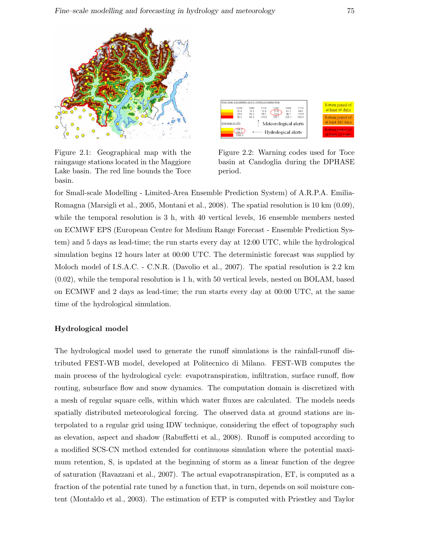

Figure 2.1: Geographical map with the raingauge stations located in the Maggiore Lake basin. The red line bounds the Toce basin.



Figure 2.2: Warning codes used for Toce basin at Candoglia during the DPHASE period.

for Small-scale Modelling - Limited-Area Ensemble Prediction System) of A.R.P.A. Emilia-Romagna (Marsigli et al., 2005, Montani et al., 2008). The spatial resolution is 10 km (0.09), while the temporal resolution is 3 h, with 40 vertical levels, 16 ensemble members nested on ECMWF EPS (European Centre for Medium Range Forecast - Ensemble Prediction System) and 5 days as lead-time; the run starts every day at 12:00 UTC, while the hydrological simulation begins 12 hours later at 00:00 UTC. The deterministic forecast was supplied by Moloch model of I.S.A.C. - C.N.R. (Davolio et al., 2007). The spatial resolution is 2.2 km (0.02), while the temporal resolution is 1 h, with 50 vertical levels, nested on BOLAM, based on ECMWF and 2 days as lead-time; the run starts every day at 00:00 UTC, at the same time of the hydrological simulation.

# Hydrological model

The hydrological model used to generate the runoff simulations is the rainfall-runoff distributed FEST-WB model, developed at Politecnico di Milano. FEST-WB computes the main process of the hydrological cycle: evapotranspiration, infiltration, surface runoff, flow routing, subsurface flow and snow dynamics. The computation domain is discretized with a mesh of regular square cells, within which water fluxes are calculated. The models needs spatially distributed meteorological forcing. The observed data at ground stations are interpolated to a regular grid using IDW technique, considering the effect of topography such as elevation, aspect and shadow (Rabuffetti et al., 2008). Runoff is computed according to a modified SCS-CN method extended for continuous simulation where the potential maximum retention, S, is updated at the beginning of storm as a linear function of the degree of saturation (Ravazzani et al., 2007). The actual evapotranspiration, ET, is computed as a fraction of the potential rate tuned by a function that, in turn, depends on soil moisture content (Montaldo et al., 2003). The estimation of ETP is computed with Priestley and Taylor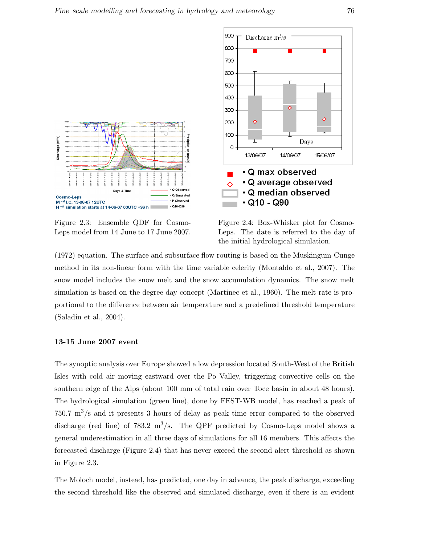

Figure 2.3: Ensemble QDF for Cosmo-Leps model from 14 June to 17 June 2007.

Figure 2.4: Box-Whisker plot for Cosmo-Leps. The date is referred to the day of the initial hydrological simulation.

(1972) equation. The surface and subsurface flow routing is based on the Muskingum-Cunge method in its non-linear form with the time variable celerity (Montaldo et al., 2007). The snow model includes the snow melt and the snow accumulation dynamics. The snow melt simulation is based on the degree day concept (Martinec et al., 1960). The melt rate is proportional to the difference between air temperature and a predefined threshold temperature (Saladin et al., 2004).

## 13-15 June 2007 event

The synoptic analysis over Europe showed a low depression located South-West of the British Isles with cold air moving eastward over the Po Valley, triggering convective cells on the southern edge of the Alps (about 100 mm of total rain over Toce basin in about 48 hours). The hydrological simulation (green line), done by FEST-WB model, has reached a peak of  $750.7 \text{ m}^3/\text{s}$  and it presents 3 hours of delay as peak time error compared to the observed discharge (red line) of 783.2 m<sup>3</sup>/s. The QPF predicted by Cosmo-Leps model shows a general underestimation in all three days of simulations for all 16 members. This affects the forecasted discharge (Figure 2.4) that has never exceed the second alert threshold as shown in Figure 2.3.

The Moloch model, instead, has predicted, one day in advance, the peak discharge, exceeding the second threshold like the observed and simulated discharge, even if there is an evident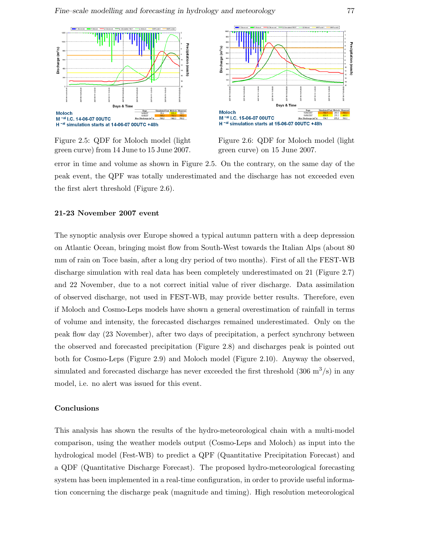

Figure 2.5: QDF for Moloch model (light green curve) from 14 June to 15 June 2007.



Figure 2.6: QDF for Moloch model (light green curve) on 15 June 2007.

error in time and volume as shown in Figure 2.5. On the contrary, on the same day of the peak event, the QPF was totally underestimated and the discharge has not exceeded even the first alert threshold (Figure 2.6).

## 21-23 November 2007 event

The synoptic analysis over Europe showed a typical autumn pattern with a deep depression on Atlantic Ocean, bringing moist flow from South-West towards the Italian Alps (about 80 mm of rain on Toce basin, after a long dry period of two months). First of all the FEST-WB discharge simulation with real data has been completely underestimated on 21 (Figure 2.7) and 22 November, due to a not correct initial value of river discharge. Data assimilation of observed discharge, not used in FEST-WB, may provide better results. Therefore, even if Moloch and Cosmo-Leps models have shown a general overestimation of rainfall in terms of volume and intensity, the forecasted discharges remained underestimated. Only on the peak flow day (23 November), after two days of precipitation, a perfect synchrony between the observed and forecasted precipitation (Figure 2.8) and discharges peak is pointed out both for Cosmo-Leps (Figure 2.9) and Moloch model (Figure 2.10). Anyway the observed, simulated and forecasted discharge has never exceeded the first threshold  $(306 \text{ m}^3/\text{s})$  in any model, i.e. no alert was issued for this event.

#### Conclusions

This analysis has shown the results of the hydro-meteorological chain with a multi-model comparison, using the weather models output (Cosmo-Leps and Moloch) as input into the hydrological model (Fest-WB) to predict a QPF (Quantitative Precipitation Forecast) and a QDF (Quantitative Discharge Forecast). The proposed hydro-meteorological forecasting system has been implemented in a real-time configuration, in order to provide useful information concerning the discharge peak (magnitude and timing). High resolution meteorological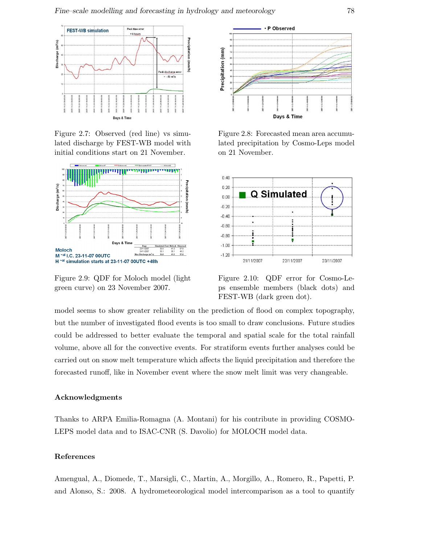

Figure 2.7: Observed (red line) vs simulated discharge by FEST-WB model with initial conditions start on 21 November.



Figure 2.9: QDF for Moloch model (light green curve) on 23 November 2007.



Figure 2.8: Forecasted mean area accumulated precipitation by Cosmo-Leps model on 21 November.



Figure 2.10: QDF error for Cosmo-Leps ensemble members (black dots) and FEST-WB (dark green dot).

model seems to show greater reliability on the prediction of flood on complex topography, but the number of investigated flood events is too small to draw conclusions. Future studies could be addressed to better evaluate the temporal and spatial scale for the total rainfall volume, above all for the convective events. For stratiform events further analyses could be carried out on snow melt temperature which affects the liquid precipitation and therefore the forecasted runoff, like in November event where the snow melt limit was very changeable.

## Acknowledgments

Thanks to ARPA Emilia-Romagna (A. Montani) for his contribute in providing COSMO-LEPS model data and to ISAC-CNR (S. Davolio) for MOLOCH model data.

## References

Amengual, A., Diomede, T., Marsigli, C., Martin, A., Morgillo, A., Romero, R., Papetti, P. and Alonso, S.: 2008. A hydrometeorological model intercomparison as a tool to quantify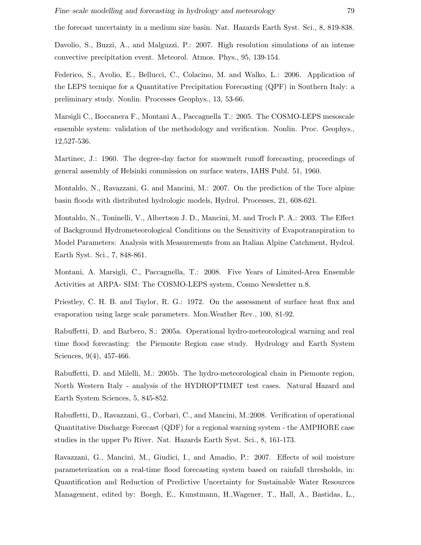the forecast uncertainty in a medium size basin. Nat. Hazards Earth Syst. Sci., 8, 819-838.

Davolio, S., Buzzi, A., and Malguzzi, P.: 2007. High resolution simulations of an intense convective precipitation event. Meteorol. Atmos. Phys., 95, 139-154.

Federico, S., Avolio, E., Bellucci, C., Colacino, M. and Walko, L.: 2006. Application of the LEPS tecnique for a Quantitative Precipitation Forecasting (QPF) in Southern Italy: a preliminary study. Nonlin. Processes Geophys., 13, 53-66.

Marsigli C., Boccanera F., Montani A., Paccagnella T.: 2005. The COSMO-LEPS mesoscale ensemble system: validation of the methodology and verification. Nonlin. Proc. Geophys., 12,527-536.

Martinec, J.: 1960. The degree-day factor for snowmelt runoff forecasting, proceedings of general assembly of Helsinki commission on surface waters, IAHS Publ. 51, 1960.

Montaldo, N., Ravazzani, G. and Mancini, M.: 2007. On the prediction of the Toce alpine basin floods with distributed hydrologic models, Hydrol. Processes, 21, 608-621.

Montaldo, N., Toninelli, V., Albertson J. D., Mancini, M. and Troch P. A.: 2003. The Effect of Background Hydrometeorological Conditions on the Sensitivity of Evapotranspiration to Model Parameters: Analysis with Measurements from an Italian Alpine Catchment, Hydrol. Earth Syst. Sci., 7, 848-861.

Montani, A. Marsigli, C., Paccagnella, T.: 2008. Five Years of Limited-Area Ensemble Activities at ARPA- SIM: The COSMO-LEPS system, Cosmo Newsletter n.8.

Priestley, C. H. B. and Taylor, R. G.: 1972. On the assessment of surface heat flux and evaporation using large scale parameters. Mon.Weather Rev., 100, 81-92.

Rabuffetti, D. and Barbero, S.: 2005a. Operational hydro-meteorological warning and real time flood forecasting: the Piemonte Region case study. Hydrology and Earth System Sciences, 9(4), 457-466.

Rabuffetti, D. and Milelli, M.: 2005b. The hydro-meteorological chain in Piemonte region, North Western Italy - analysis of the HYDROPTIMET test cases. Natural Hazard and Earth System Sciences, 5, 845-852.

Rabuffetti, D., Ravazzani, G., Corbari, C., and Mancini, M.:2008. Verification of operational Quantitative Discharge Forecast (QDF) for a regional warning system - the AMPHORE case studies in the upper Po River. Nat. Hazards Earth Syst. Sci., 8, 161-173.

Ravazzani, G., Mancini, M., Giudici, I., and Amadio, P.: 2007. Effects of soil moisture parameterization on a real-time flood forecasting system based on rainfall thresholds, in: Quantification and Reduction of Predictive Uncertainty for Sustainable Water Resources Management, edited by: Boegh, E., Kunstmann, H.,Wagener, T., Hall, A., Bastidas, L.,